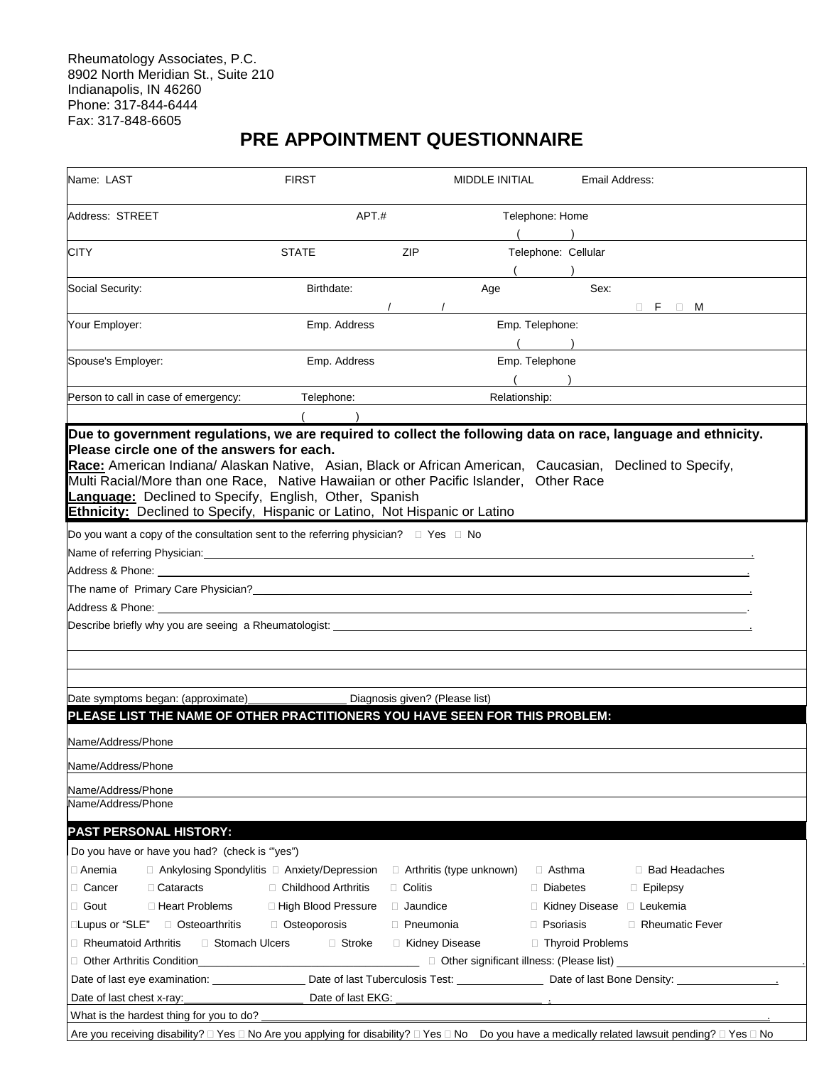Rheumatology Associates, P.C. 8902 North Meridian St., Suite 210 Indianapolis, IN 46260 Phone: 317-844-6444 Fax: 317-848-6605

## **PRE APPOINTMENT QUESTIONNAIRE**

| Name: LAST                                                                                                                                                                                                           | <b>FIRST</b>          | MIDDLE INITIAL                                                                          | Email Address:              |                         |  |
|----------------------------------------------------------------------------------------------------------------------------------------------------------------------------------------------------------------------|-----------------------|-----------------------------------------------------------------------------------------|-----------------------------|-------------------------|--|
| Address: STREET                                                                                                                                                                                                      | APT.#                 |                                                                                         | Telephone: Home             |                         |  |
|                                                                                                                                                                                                                      |                       |                                                                                         |                             |                         |  |
| <b>CITY</b>                                                                                                                                                                                                          | <b>STATE</b>          | ZIP                                                                                     | Telephone: Cellular         |                         |  |
|                                                                                                                                                                                                                      |                       |                                                                                         |                             |                         |  |
| Social Security:                                                                                                                                                                                                     | Birthdate:            | Age                                                                                     | Sex:                        |                         |  |
|                                                                                                                                                                                                                      |                       |                                                                                         |                             | $\Box$ F<br>M<br>$\Box$ |  |
| Your Employer:                                                                                                                                                                                                       | Emp. Address          |                                                                                         | Emp. Telephone:             |                         |  |
|                                                                                                                                                                                                                      |                       |                                                                                         |                             |                         |  |
| Spouse's Employer:                                                                                                                                                                                                   | Emp. Address          |                                                                                         | Emp. Telephone              |                         |  |
|                                                                                                                                                                                                                      |                       |                                                                                         |                             |                         |  |
| Person to call in case of emergency:                                                                                                                                                                                 | Telephone:            | Relationship:                                                                           |                             |                         |  |
|                                                                                                                                                                                                                      |                       |                                                                                         |                             |                         |  |
| Due to government regulations, we are required to collect the following data on race, language and ethnicity.                                                                                                        |                       |                                                                                         |                             |                         |  |
| Please circle one of the answers for each.                                                                                                                                                                           |                       |                                                                                         |                             |                         |  |
| Race: American Indiana/ Alaskan Native, Asian, Black or African American, Caucasian, Declined to Specify,                                                                                                            |                       |                                                                                         |                             |                         |  |
| Multi Racial/More than one Race, Native Hawaiian or other Pacific Islander, Other Race<br>Language: Declined to Specify, English, Other, Spanish                                                                     |                       |                                                                                         |                             |                         |  |
| <b>Ethnicity:</b> Declined to Specify, Hispanic or Latino, Not Hispanic or Latino                                                                                                                                    |                       |                                                                                         |                             |                         |  |
|                                                                                                                                                                                                                      |                       |                                                                                         |                             |                         |  |
| Do you want a copy of the consultation sent to the referring physician? $\square$ Yes $\square$ No<br>Name of referring Physician: example and a structure of the structure of the structure of the structure of the |                       |                                                                                         |                             |                         |  |
| Address & Phone:                                                                                                                                                                                                     |                       |                                                                                         |                             |                         |  |
|                                                                                                                                                                                                                      |                       |                                                                                         |                             |                         |  |
|                                                                                                                                                                                                                      |                       |                                                                                         |                             |                         |  |
|                                                                                                                                                                                                                      |                       |                                                                                         |                             |                         |  |
|                                                                                                                                                                                                                      |                       |                                                                                         |                             |                         |  |
|                                                                                                                                                                                                                      |                       |                                                                                         |                             |                         |  |
|                                                                                                                                                                                                                      |                       |                                                                                         |                             |                         |  |
|                                                                                                                                                                                                                      |                       |                                                                                         |                             |                         |  |
| Date symptoms began: (approximate)<br>PLEASE LIST THE NAME OF OTHER PRACTITIONERS YOU HAVE SEEN FOR THIS PROBLEM:                                                                                                    |                       | Diagnosis given? (Please list)                                                          |                             |                         |  |
|                                                                                                                                                                                                                      |                       |                                                                                         |                             |                         |  |
| Name/Address/Phone                                                                                                                                                                                                   |                       |                                                                                         |                             |                         |  |
| Name/Address/Phone                                                                                                                                                                                                   |                       |                                                                                         |                             |                         |  |
| Name/Address/Phone                                                                                                                                                                                                   |                       |                                                                                         |                             |                         |  |
| Name/Address/Phone                                                                                                                                                                                                   |                       |                                                                                         |                             |                         |  |
|                                                                                                                                                                                                                      |                       |                                                                                         |                             |                         |  |
| <b>PAST PERSONAL HISTORY:</b>                                                                                                                                                                                        |                       |                                                                                         |                             |                         |  |
| Do you have or have you had? (check is "yes")                                                                                                                                                                        |                       |                                                                                         |                             |                         |  |
| □ Anemia                                                                                                                                                                                                             |                       | $\Box$ Ankylosing Spondylitis $\Box$ Anxiety/Depression $\Box$ Arthritis (type unknown) | $\Box$ Asthma               | □ Bad Headaches         |  |
| □ Cataracts<br>□ Cancer                                                                                                                                                                                              | □ Childhood Arthritis | $\Box$ Colitis                                                                          | Diabetes                    | $\Box$ Epilepsy         |  |
| □ Heart Problems<br>$\Box$ Gout                                                                                                                                                                                      | □ High Blood Pressure | d Jaundice                                                                              | □ Kidney Disease □ Leukemia |                         |  |
| □Lupus or "SLE" □ Osteoarthritis                                                                                                                                                                                     | □ Osteoporosis        | <b>Pneumonia</b>                                                                        | <b>P</b> soriasis           | Rheumatic Fever         |  |
| $\Box$ Rheumatoid Arthritis<br>□ Stomach Ulcers                                                                                                                                                                      | □ Stroke              | □ Kidney Disease                                                                        | □ Thyroid Problems          |                         |  |
|                                                                                                                                                                                                                      |                       |                                                                                         |                             |                         |  |
|                                                                                                                                                                                                                      |                       |                                                                                         |                             |                         |  |
| Date of last chest x-ray: Date of last EKG:                                                                                                                                                                          |                       |                                                                                         |                             |                         |  |
| What is the hardest thing for you to do?                                                                                                                                                                             |                       |                                                                                         |                             |                         |  |
| Are you receiving disability? □ Yes □ No Are you applying for disability? □ Yes □ No Do you have a medically related lawsuit pending? □ Yes □ No                                                                     |                       |                                                                                         |                             |                         |  |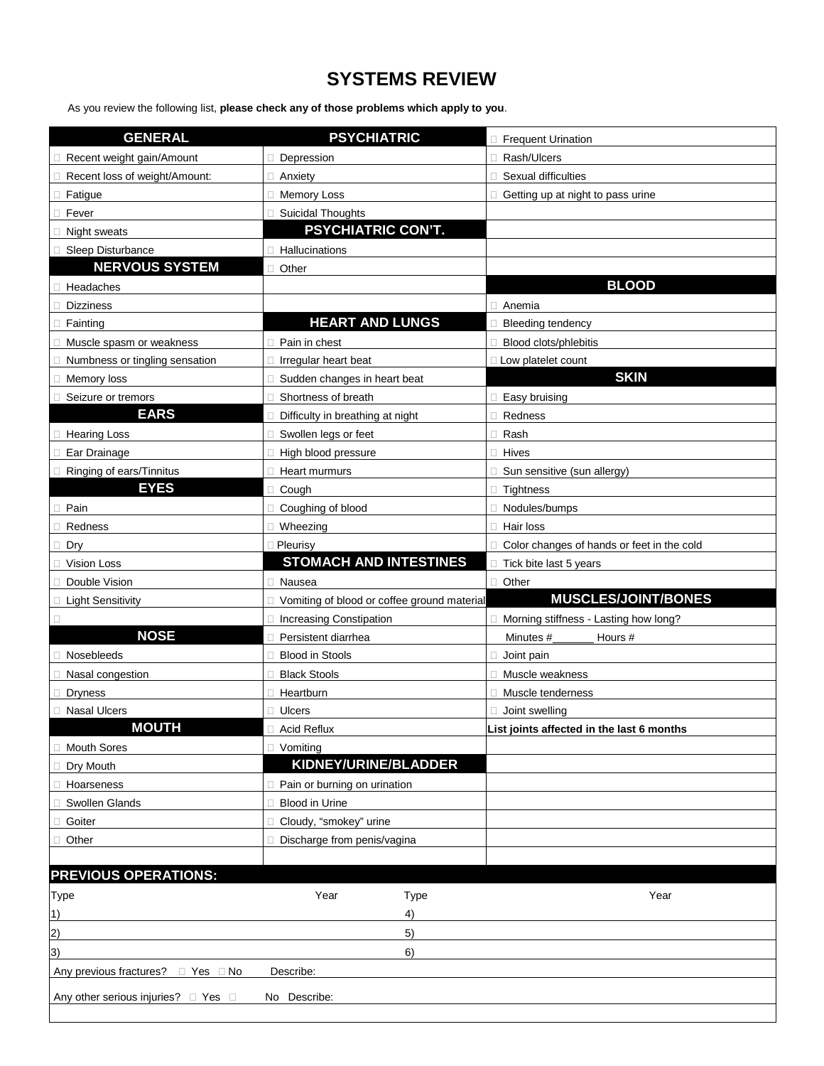## **SYSTEMS REVIEW**

As you review the following list, **please check any of those problems which apply to you**.

| <b>GENERAL</b>                                  | <b>PSYCHIATRIC</b>                          | <b>Frequent Urination</b>                  |  |  |
|-------------------------------------------------|---------------------------------------------|--------------------------------------------|--|--|
| Recent weight gain/Amount                       | Depression                                  | Rash/Ulcers                                |  |  |
| Recent loss of weight/Amount:                   | □ Anxiety                                   | Sexual difficulties                        |  |  |
| Fatigue                                         | $\Box$<br><b>Memory Loss</b>                | Getting up at night to pass urine          |  |  |
| Fever                                           | <b>Suicidal Thoughts</b>                    |                                            |  |  |
| Night sweats                                    | <b>PSYCHIATRIC CON'T.</b>                   |                                            |  |  |
| Sleep Disturbance                               | Hallucinations                              |                                            |  |  |
| <b>NERVOUS SYSTEM</b>                           | Other                                       |                                            |  |  |
| Headaches                                       |                                             | <b>BLOOD</b>                               |  |  |
| <b>Dizziness</b>                                |                                             | Anemia                                     |  |  |
| Fainting                                        | <b>HEART AND LUNGS</b>                      | <b>Bleeding tendency</b>                   |  |  |
| Muscle spasm or weakness                        | Pain in chest                               | Blood clots/phlebitis                      |  |  |
| Numbness or tingling sensation                  | Irregular heart beat                        | Low platelet count                         |  |  |
| Memory loss                                     | Sudden changes in heart beat                | <b>SKIN</b>                                |  |  |
| Seizure or tremors                              | Shortness of breath                         | Easy bruising                              |  |  |
| <b>EARS</b>                                     | Difficulty in breathing at night            | Redness                                    |  |  |
| <b>Hearing Loss</b>                             | Swollen legs or feet                        | Rash                                       |  |  |
| Ear Drainage                                    | High blood pressure<br>П                    | Hives                                      |  |  |
| Ringing of ears/Tinnitus                        | Heart murmurs                               | Sun sensitive (sun allergy)                |  |  |
| <b>EYES</b>                                     | Cough                                       | <b>Tightness</b>                           |  |  |
| □ Pain                                          | Coughing of blood                           | Nodules/bumps                              |  |  |
| Redness                                         | $\Box$<br>Wheezing                          | Hair loss                                  |  |  |
| Dry<br>ш                                        | <b>D</b> Pleurisy                           | Color changes of hands or feet in the cold |  |  |
| Vision Loss                                     | <b>STOMACH AND INTESTINES</b>               | Tick bite last 5 years                     |  |  |
| Double Vision                                   | П<br>Nausea                                 | Other<br>п                                 |  |  |
| □ Light Sensitivity                             | Vomiting of blood or coffee ground material | <b>MUSCLES/JOINT/BONES</b>                 |  |  |
| $\Box$                                          | <b>Increasing Constipation</b>              | Morning stiffness - Lasting how long?      |  |  |
| <b>NOSE</b>                                     | Persistent diarrhea                         | Minutes #<br>Hours #                       |  |  |
| Nosebleeds                                      | <b>Blood in Stools</b>                      | Joint pain                                 |  |  |
| Nasal congestion                                | <b>Black Stools</b>                         | Muscle weakness                            |  |  |
| <b>Dryness</b>                                  | Heartburn                                   | Muscle tenderness                          |  |  |
| <b>Nasal Ulcers</b><br>п                        | <b>Ulcers</b>                               | Joint swelling                             |  |  |
| <b>MOUTH</b>                                    | Acid Reflux                                 | List joints affected in the last 6 months  |  |  |
| <b>Mouth Sores</b>                              | $\Box$ Vomiting                             |                                            |  |  |
| Dry Mouth                                       | KIDNEY/URINE/BLADDER                        |                                            |  |  |
| Hoarseness                                      | Pain or burning on urination                |                                            |  |  |
| Swollen Glands                                  | <b>Blood in Urine</b>                       |                                            |  |  |
| Goiter                                          | Cloudy, "smokey" urine                      |                                            |  |  |
| Other                                           | Discharge from penis/vagina                 |                                            |  |  |
|                                                 |                                             |                                            |  |  |
| <b>PREVIOUS OPERATIONS:</b>                     |                                             |                                            |  |  |
| Type                                            | Year<br>Type                                | Year                                       |  |  |
| 1)                                              | 4)                                          |                                            |  |  |
| 2)                                              | 5)                                          |                                            |  |  |
| 3)                                              | 6)                                          |                                            |  |  |
| Any previous fractures?<br>$\Box$ Yes $\Box$ No | Describe:                                   |                                            |  |  |
| Any other serious injuries? □ Yes               | No Describe:                                |                                            |  |  |
|                                                 |                                             |                                            |  |  |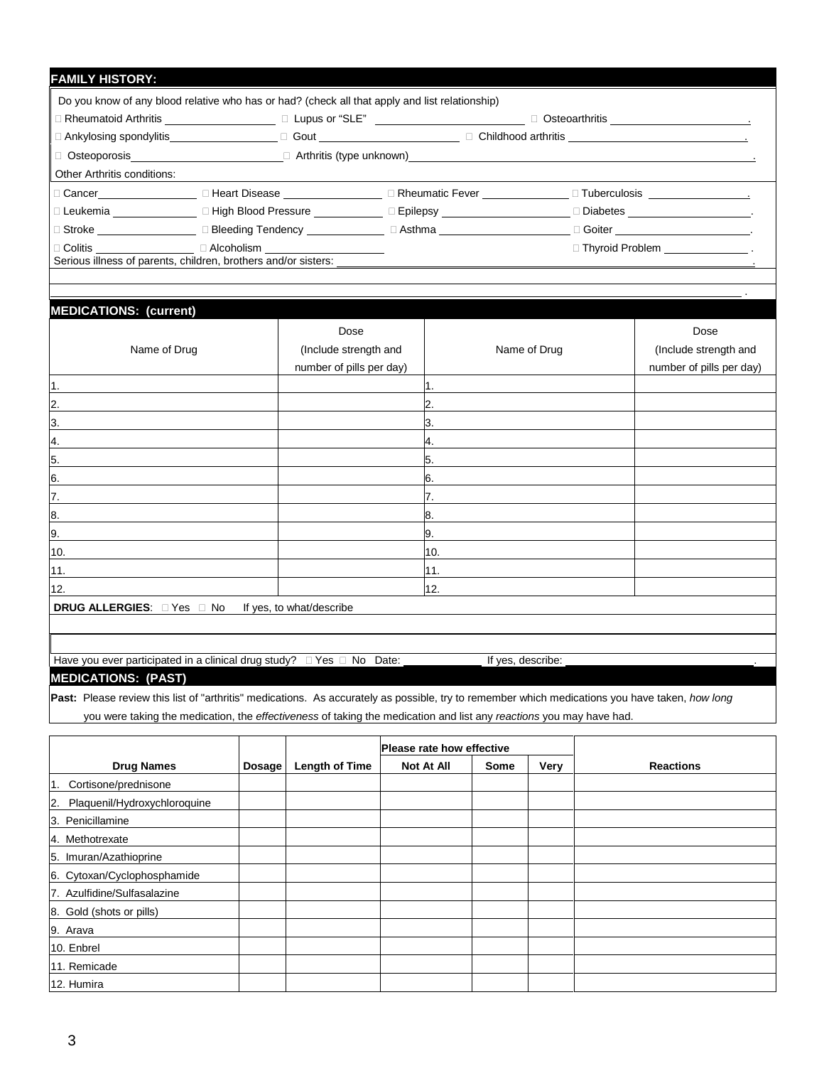| <b>FAMILY HISTORY:</b>             |                                                                                                     |  |                                            |  |  |  |
|------------------------------------|-----------------------------------------------------------------------------------------------------|--|--------------------------------------------|--|--|--|
|                                    | Do you know of any blood relative who has or had? (check all that apply and list relationship)      |  |                                            |  |  |  |
|                                    | ा Rheumatoid Arthritis ________________________ □ Lupus or "SLE" __________________________________ |  |                                            |  |  |  |
|                                    |                                                                                                     |  |                                            |  |  |  |
|                                    |                                                                                                     |  |                                            |  |  |  |
| <b>Other Arthritis conditions:</b> |                                                                                                     |  |                                            |  |  |  |
|                                    |                                                                                                     |  |                                            |  |  |  |
|                                    | □ Leukemia _______________ □ High Blood Pressure ___________ □ Epilepsy _______________             |  | □ Diabetes _____________________________.  |  |  |  |
|                                    | □ Stroke _____________________ □ Bleeding Tendency ______________ □ Asthma ________________________ |  | □ Goiter _________________________________ |  |  |  |
|                                    | $\Box$ Colitis $\Box$ Alcoholism<br>Serious illness of parents, children, brothers and/or sisters:  |  | $\Box$ Thyroid Problem $\Box$              |  |  |  |
|                                    |                                                                                                     |  |                                            |  |  |  |

.

## **MEDICATIONS: (current)** Dose Dose Name of Drug and and  $\vert$  (Include strength and  $\vert$  and  $\vert$  and  $\vert$  and  $\vert$  (Include strength and  $\vert$  and  $\vert$  and  $\vert$  and  $\vert$  and  $\vert$  and  $\vert$  and  $\vert$  and  $\vert$  and  $\vert$  and  $\vert$  and  $\vert$  and  $\vert$  and  $\vert$  and  $\vert$ number of pills per day) and the control of pills per day) humber of pills per day) 1. The contract of the contract of  $\vert$  1. The contract of  $\vert$  1. 2.  $\blacksquare$  $3.$  $4.$ 5. 5. 6.  $\blacksquare$ 7. 7. 8. 8. 9. 9. 10.  $\qquad \qquad \blacksquare$ 11. 11. 12.  $\qquad \qquad \blacksquare$ **DRUG ALLERGIES:**  $\Box$  Yes  $\Box$  No If yes, to what/describe

Have you ever participated in a clinical drug study?  $\Box$  Yes  $\Box$  No Date:  $\Box$  If yes, describe:

**MEDICATIONS: (PAST)**

**Past:** Please review this list of "arthritis" medications. As accurately as possible, try to remember which medications you have taken, *how long*

you were taking the medication, the *effectiveness* of taking the medication and list any *reactions* you may have had.

|                                    |        |                       | <b>Please rate how effective</b> |             |      |                  |
|------------------------------------|--------|-----------------------|----------------------------------|-------------|------|------------------|
| <b>Drug Names</b>                  | Dosage | <b>Length of Time</b> | Not At All                       | <b>Some</b> | Very | <b>Reactions</b> |
| Cortisone/prednisone<br>1.         |        |                       |                                  |             |      |                  |
| Plaquenil/Hydroxychloroquine<br>2. |        |                       |                                  |             |      |                  |
| 3. Penicillamine                   |        |                       |                                  |             |      |                  |
| 4. Methotrexate                    |        |                       |                                  |             |      |                  |
| 5. Imuran/Azathioprine             |        |                       |                                  |             |      |                  |
| 6. Cytoxan/Cyclophosphamide        |        |                       |                                  |             |      |                  |
| 7. Azulfidine/Sulfasalazine        |        |                       |                                  |             |      |                  |
| 8. Gold (shots or pills)           |        |                       |                                  |             |      |                  |
| 9. Arava                           |        |                       |                                  |             |      |                  |
| 10. Enbrel                         |        |                       |                                  |             |      |                  |
| 11. Remicade                       |        |                       |                                  |             |      |                  |
| 12. Humira                         |        |                       |                                  |             |      |                  |